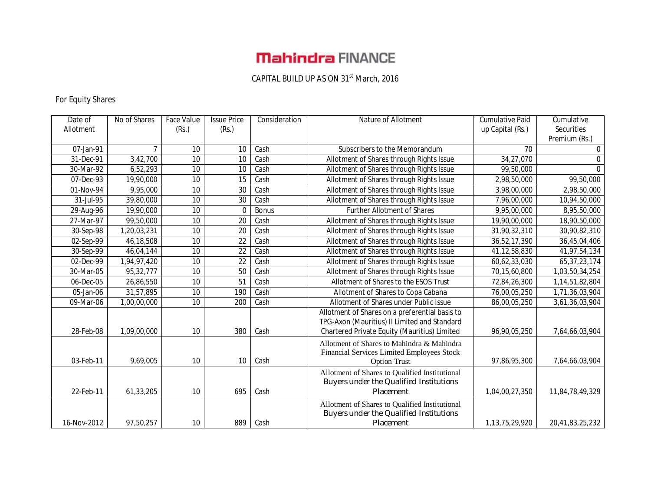# **Mahindra FINANCE**

#### CAPITAL BUILD UP AS ON 31<sup>st</sup> March, 2016

#### For Equity Shares

| Date of     | No of Shares | Face Value      | <b>Issue Price</b> | Consideration | Nature of Allotment                                                                          | <b>Cumulative Paid</b> | Cumulative      |
|-------------|--------------|-----------------|--------------------|---------------|----------------------------------------------------------------------------------------------|------------------------|-----------------|
| Allotment   |              | (Rs.)           | (Rs.)              |               |                                                                                              | up Capital (Rs.)       | Securities      |
|             |              |                 |                    |               |                                                                                              |                        | Premium (Rs.)   |
| 07-Jan-91   | 7            | 10              | 10                 | Cash          | Subscribers to the Memorandum                                                                | 70                     | $\mathbf 0$     |
| 31-Dec-91   | 3,42,700     | 10              | 10                 | Cash          | Allotment of Shares through Rights Issue                                                     | 34,27,070              | $\mathbf{0}$    |
| 30-Mar-92   | 6,52,293     | 10              | 10                 | Cash          | Allotment of Shares through Rights Issue                                                     | 99,50,000              | $\Omega$        |
| 07-Dec-93   | 19,90,000    | 10              | 15                 | Cash          | Allotment of Shares through Rights Issue                                                     | 2,98,50,000            | 99,50,000       |
| 01-Nov-94   | 9,95,000     | 10              | 30                 | Cash          | Allotment of Shares through Rights Issue                                                     | 3,98,00,000            | 2,98,50,000     |
| 31-Jul-95   | 39,80,000    | 10              | 30                 | Cash          | Allotment of Shares through Rights Issue                                                     | 7,96,00,000            | 10,94,50,000    |
| 29-Aug-96   | 19,90,000    | 10              | $\Omega$           | <b>Bonus</b>  | <b>Further Allotment of Shares</b>                                                           | 9,95,00,000            | 8,95,50,000     |
| 27-Mar-97   | 99,50,000    | 10              | 20                 | Cash          | Allotment of Shares through Rights Issue                                                     | 19,90,00,000           | 18,90,50,000    |
| 30-Sep-98   | 1,20,03,231  | 10              | 20                 | Cash          | Allotment of Shares through Rights Issue                                                     | 31,90,32,310           | 30,90,82,310    |
| 02-Sep-99   | 46,18,508    | 10              | 22                 | Cash          | Allotment of Shares through Rights Issue                                                     | 36,52,17,390           | 36,45,04,406    |
| 30-Sep-99   | 46,04,144    | 10              | $\overline{22}$    | Cash          | Allotment of Shares through Rights Issue                                                     | 41, 12, 58, 830        | 41,97,54,134    |
| 02-Dec-99   | 1,94,97,420  | 10              | 22                 | Cash          | Allotment of Shares through Rights Issue                                                     | 60,62,33,030           | 65, 37, 23, 174 |
| 30-Mar-05   | 95,32,777    | 10              | 50                 | Cash          | Allotment of Shares through Rights Issue                                                     | 70,15,60,800           | 1,03,50,34,254  |
| 06-Dec-05   | 26,86,550    | 10              | 51                 | Cash          | Allotment of Shares to the ESOS Trust                                                        | 72,84,26,300           | 1,14,51,82,804  |
| 05-Jan-06   | 31,57,895    | $\overline{10}$ | 190                | Cash          | Allotment of Shares to Copa Cabana                                                           | 76,00,05,250           | 1,71,36,03,904  |
| 09-Mar-06   | 1,00,00,000  | 10              | 200                | Cash          | Allotment of Shares under Public Issue                                                       | 86,00,05,250           | 3,61,36,03,904  |
|             |              |                 |                    |               | Allotment of Shares on a preferential basis to                                               |                        |                 |
| 28-Feb-08   | 1,09,00,000  | 10              | 380                | Cash          | TPG-Axon (Mauritius) II Limited and Standard<br>Chartered Private Equity (Mauritius) Limited | 96,90,05,250           | 7,64,66,03,904  |
|             |              |                 |                    |               |                                                                                              |                        |                 |
|             |              |                 |                    |               | Allotment of Shares to Mahindra & Mahindra                                                   |                        |                 |
| 03-Feb-11   | 9,69,005     | 10              | 10                 | Cash          | Financial Services Limited Employees Stock<br><b>Option Trust</b>                            | 97,86,95,300           | 7,64,66,03,904  |
|             |              |                 |                    |               | Allotment of Shares to Qualified Institutional                                               |                        |                 |
|             |              |                 |                    |               | Buyers under the Qualified Institutions                                                      |                        |                 |
| 22-Feb-11   | 61,33,205    | 10              | 695                | Cash          | Placement                                                                                    | 1,04,00,27,350         | 11,84,78,49,329 |
|             |              |                 |                    |               |                                                                                              |                        |                 |
|             |              |                 |                    |               | Allotment of Shares to Qualified Institutional                                               |                        |                 |
| 16-Nov-2012 | 97,50,257    | 10              | 889                | Cash          | Buyers under the Qualified Institutions                                                      | 1,13,75,29,920         | 20,41,83,25,232 |
|             |              |                 |                    |               | Placement                                                                                    |                        |                 |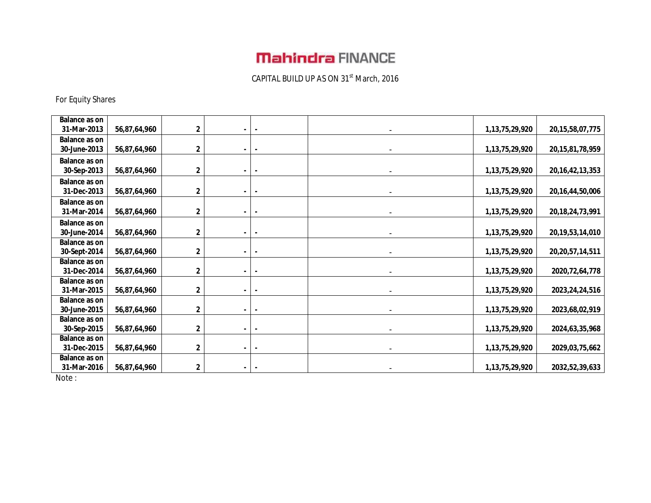# **Mahindra FINANCE**

CAPITAL BUILD UP AS ON 31<sup>st</sup> March, 2016

For Equity Shares

| <b>Balance as on</b><br>31-Mar-2013<br>2<br>56,87,64,960<br>1, 13, 75, 29, 920<br>20, 15, 58, 07, 775<br>Balance as on<br>2<br>30-June-2013<br>56,87,64,960<br>1,13,75,29,920<br>20, 15, 81, 78, 959<br>Balance as on<br>30-Sep-2013<br>2<br>56,87,64,960<br>1,13,75,29,920<br>20, 16, 42, 13, 353<br><b>Balance as on</b><br>31-Dec-2013<br>2<br>56,87,64,960<br>1, 13, 75, 29, 920<br>20, 16, 44, 50, 006<br>Balance as on<br>$\mathbf 2$<br>56,87,64,960<br>1,13,75,29,920<br>20, 18, 24, 73, 991<br>31-Mar-2014<br>$\blacksquare$<br>$\blacksquare$<br>Balance as on<br>$\mathbf 2$<br>30-June-2014<br>56,87,64,960<br>1,13,75,29,920<br>20, 19, 53, 14, 010<br>$\blacksquare$<br>$\sim$<br><b>Balance as on</b><br>30-Sept-2014<br>56,87,64,960<br>2<br>1, 13, 75, 29, 920<br>20,20,57,14,511<br>Balance as on<br>$\mathbf 2$<br>2020, 72, 64, 778<br>31-Dec-2014 |
|------------------------------------------------------------------------------------------------------------------------------------------------------------------------------------------------------------------------------------------------------------------------------------------------------------------------------------------------------------------------------------------------------------------------------------------------------------------------------------------------------------------------------------------------------------------------------------------------------------------------------------------------------------------------------------------------------------------------------------------------------------------------------------------------------------------------------------------------------------------------|
|                                                                                                                                                                                                                                                                                                                                                                                                                                                                                                                                                                                                                                                                                                                                                                                                                                                                        |
|                                                                                                                                                                                                                                                                                                                                                                                                                                                                                                                                                                                                                                                                                                                                                                                                                                                                        |
|                                                                                                                                                                                                                                                                                                                                                                                                                                                                                                                                                                                                                                                                                                                                                                                                                                                                        |
|                                                                                                                                                                                                                                                                                                                                                                                                                                                                                                                                                                                                                                                                                                                                                                                                                                                                        |
|                                                                                                                                                                                                                                                                                                                                                                                                                                                                                                                                                                                                                                                                                                                                                                                                                                                                        |
|                                                                                                                                                                                                                                                                                                                                                                                                                                                                                                                                                                                                                                                                                                                                                                                                                                                                        |
|                                                                                                                                                                                                                                                                                                                                                                                                                                                                                                                                                                                                                                                                                                                                                                                                                                                                        |
|                                                                                                                                                                                                                                                                                                                                                                                                                                                                                                                                                                                                                                                                                                                                                                                                                                                                        |
|                                                                                                                                                                                                                                                                                                                                                                                                                                                                                                                                                                                                                                                                                                                                                                                                                                                                        |
|                                                                                                                                                                                                                                                                                                                                                                                                                                                                                                                                                                                                                                                                                                                                                                                                                                                                        |
|                                                                                                                                                                                                                                                                                                                                                                                                                                                                                                                                                                                                                                                                                                                                                                                                                                                                        |
|                                                                                                                                                                                                                                                                                                                                                                                                                                                                                                                                                                                                                                                                                                                                                                                                                                                                        |
|                                                                                                                                                                                                                                                                                                                                                                                                                                                                                                                                                                                                                                                                                                                                                                                                                                                                        |
|                                                                                                                                                                                                                                                                                                                                                                                                                                                                                                                                                                                                                                                                                                                                                                                                                                                                        |
|                                                                                                                                                                                                                                                                                                                                                                                                                                                                                                                                                                                                                                                                                                                                                                                                                                                                        |
|                                                                                                                                                                                                                                                                                                                                                                                                                                                                                                                                                                                                                                                                                                                                                                                                                                                                        |
| 56,87,64,960<br>1, 13, 75, 29, 920                                                                                                                                                                                                                                                                                                                                                                                                                                                                                                                                                                                                                                                                                                                                                                                                                                     |
| <b>Balance as on</b>                                                                                                                                                                                                                                                                                                                                                                                                                                                                                                                                                                                                                                                                                                                                                                                                                                                   |
| $\mathbf 2$<br>31-Mar-2015<br>56,87,64,960<br>1, 13, 75, 29, 920<br>2023, 24, 24, 516                                                                                                                                                                                                                                                                                                                                                                                                                                                                                                                                                                                                                                                                                                                                                                                  |
| Balance as on                                                                                                                                                                                                                                                                                                                                                                                                                                                                                                                                                                                                                                                                                                                                                                                                                                                          |
| $\mathbf 2$<br>30-June-2015<br>56,87,64,960<br>1,13,75,29,920<br>2023,68,02,919<br>$\blacksquare$                                                                                                                                                                                                                                                                                                                                                                                                                                                                                                                                                                                                                                                                                                                                                                      |
| <b>Balance as on</b>                                                                                                                                                                                                                                                                                                                                                                                                                                                                                                                                                                                                                                                                                                                                                                                                                                                   |
| 30-Sep-2015<br>2024, 63, 35, 968<br>56,87,64,960<br>2<br>1, 13, 75, 29, 920                                                                                                                                                                                                                                                                                                                                                                                                                                                                                                                                                                                                                                                                                                                                                                                            |
| <b>Balance as on</b>                                                                                                                                                                                                                                                                                                                                                                                                                                                                                                                                                                                                                                                                                                                                                                                                                                                   |
| 31-Dec-2015<br>56,87,64,960<br>$\mathbf 2$<br>1, 13, 75, 29, 920<br>2029, 03, 75, 662<br>$\blacksquare$                                                                                                                                                                                                                                                                                                                                                                                                                                                                                                                                                                                                                                                                                                                                                                |
| Balance as on                                                                                                                                                                                                                                                                                                                                                                                                                                                                                                                                                                                                                                                                                                                                                                                                                                                          |
| 2<br>31-Mar-2016<br>56,87,64,960<br>1,13,75,29,920<br>2032, 52, 39, 633                                                                                                                                                                                                                                                                                                                                                                                                                                                                                                                                                                                                                                                                                                                                                                                                |

Note :